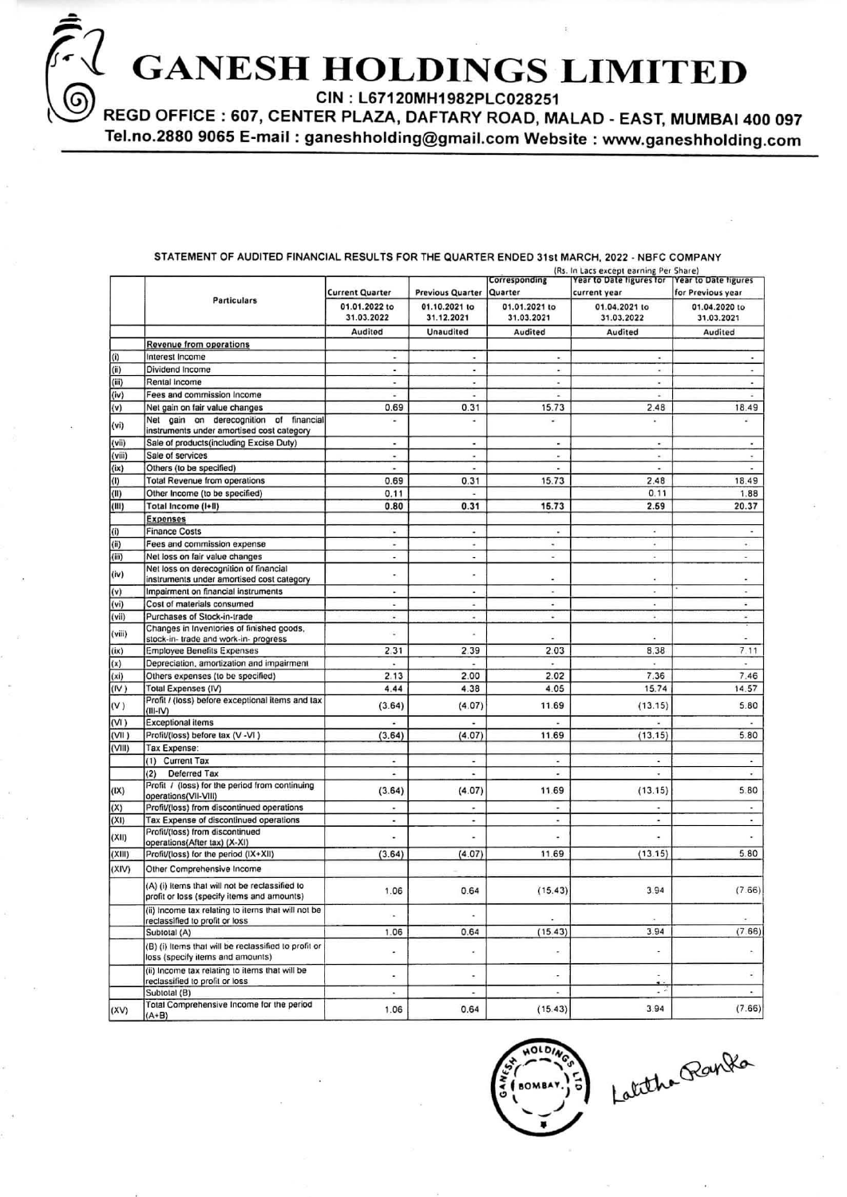**GANESH HOLDINGS LIMITED** 

CIN: L67120MH1982PLC028251

REGD OFFICE : 607, CENTER PLAZA, DAFTARY ROAD, MALAD - EAST, MUMBAI 400 097 Tel.no.2880 9065 E-mail: ganeshholding@gmail.com Website: www.ganeshholding.com

### STATEMENT OF AUDITED FINANCIAL RESULTS FOR THE QUARTER ENDED 31st MARCH, 2022 - NBFC COMPANY

|                    |                                                                                              |                                                                                                                                                                                                                                                                                                                                                                                                         |                             | Corresponding               | (Rs. In Lacs except earning Per Share)<br>Year to Date figures for Year to Date figures |                             |
|--------------------|----------------------------------------------------------------------------------------------|---------------------------------------------------------------------------------------------------------------------------------------------------------------------------------------------------------------------------------------------------------------------------------------------------------------------------------------------------------------------------------------------------------|-----------------------------|-----------------------------|-----------------------------------------------------------------------------------------|-----------------------------|
|                    | <b>Particulars</b>                                                                           | <b>Current Quarter</b>                                                                                                                                                                                                                                                                                                                                                                                  | <b>Previous Quarter</b>     | Quarter                     | current year                                                                            | for Previous year           |
|                    |                                                                                              | 01.01.2022 to<br>31.03.2022                                                                                                                                                                                                                                                                                                                                                                             | 01.10.2021 to<br>31.12.2021 | 01.01.2021 to<br>31.03.2021 | 01.04.2021 to<br>31.03.2022                                                             | 01.04.2020 to<br>31.03.2021 |
|                    |                                                                                              | <b>Audited</b>                                                                                                                                                                                                                                                                                                                                                                                          | <b>Unaudited</b>            | Audited                     | Audited                                                                                 | Audited                     |
|                    | Revenue from operations                                                                      |                                                                                                                                                                                                                                                                                                                                                                                                         |                             |                             |                                                                                         |                             |
| (i)                | Interest Income                                                                              | ×,                                                                                                                                                                                                                                                                                                                                                                                                      |                             | ٠                           | ٠                                                                                       |                             |
| (ii)               | Dividend Income                                                                              | $\qquad \qquad \blacksquare$                                                                                                                                                                                                                                                                                                                                                                            | $\blacksquare$              | ä,                          | $\scriptstyle\star$                                                                     |                             |
| (iii)              | Rental Income                                                                                | ×                                                                                                                                                                                                                                                                                                                                                                                                       | ٠                           | ×                           | $\overline{\phantom{a}}$                                                                |                             |
| (iv)               | Fees and commission Income                                                                   | ×                                                                                                                                                                                                                                                                                                                                                                                                       |                             |                             | ¥                                                                                       |                             |
| (v)                | Net gain on fair value changes                                                               | 0.69                                                                                                                                                                                                                                                                                                                                                                                                    | 0.31                        | 15.73                       | 2.48                                                                                    | 18.49                       |
| (vi)               | Net gain on derecognition of financial<br>instruments under amortised cost category          | ٠                                                                                                                                                                                                                                                                                                                                                                                                       | ä,                          | ÷                           | ¥                                                                                       | ¥.                          |
| (vii)              | Sale of products(including Excise Duty)                                                      | $\blacksquare$                                                                                                                                                                                                                                                                                                                                                                                          | $\bullet$                   | $\blacksquare$              | $\blacksquare$                                                                          | $\blacksquare$              |
| (viii)             | Sale of services                                                                             | ٠                                                                                                                                                                                                                                                                                                                                                                                                       | ۰                           | ٠                           | ٠                                                                                       |                             |
| (ix)               | Others (to be specified)                                                                     | ٠                                                                                                                                                                                                                                                                                                                                                                                                       | ×                           | ä,                          | $\tilde{\phantom{a}}$                                                                   | ×                           |
| (1)                | <b>Total Revenue from operations</b>                                                         | 0.69                                                                                                                                                                                                                                                                                                                                                                                                    | 0.31                        | 15.73                       | 2.48                                                                                    | 18.49                       |
| (II)               | Other Income (to be specified)                                                               | 0.11                                                                                                                                                                                                                                                                                                                                                                                                    | ۷                           |                             | 0.11                                                                                    | 1.88                        |
| (III)              | Total Income (I+II)                                                                          | 0.80                                                                                                                                                                                                                                                                                                                                                                                                    | 0.31                        | 15.73                       | 2.59                                                                                    | 20.37                       |
|                    | <b>Expenses</b>                                                                              |                                                                                                                                                                                                                                                                                                                                                                                                         |                             |                             |                                                                                         |                             |
| (i)                | <b>Finance Costs</b>                                                                         | $\overline{a}$                                                                                                                                                                                                                                                                                                                                                                                          | ٠                           | ٠                           | $\omega$                                                                                | Ξ                           |
| (i)                | Fees and commission expense                                                                  | ٠                                                                                                                                                                                                                                                                                                                                                                                                       | u                           | $\overline{\phantom{a}}$    | G.                                                                                      | $\ddot{\phantom{1}}$        |
| (iii)              | Net loss on fair value changes                                                               | $\cdot$                                                                                                                                                                                                                                                                                                                                                                                                 | $\overline{\phantom{a}}$    | $\overline{\phantom{a}}$    | $\overline{\phantom{a}}$                                                                | $\overline{\phantom{a}}$    |
| (iv)               | Net loss on derecognition of financial<br>instruments under amortised cost category          |                                                                                                                                                                                                                                                                                                                                                                                                         | $\bullet$                   |                             | $\blacksquare$                                                                          |                             |
| (v)                | Impairment on financial instruments                                                          | $\blacksquare$                                                                                                                                                                                                                                                                                                                                                                                          | ×                           | $\hat{\textbf{z}}$          | $\blacksquare$                                                                          | $\bullet$                   |
| (vi)               | Cost of materials consumed                                                                   | ٠                                                                                                                                                                                                                                                                                                                                                                                                       | ٠                           | ۰                           | ٠                                                                                       | $\tilde{\phantom{a}}$       |
| (vii)              | Purchases of Stock-in-trade                                                                  | ٠                                                                                                                                                                                                                                                                                                                                                                                                       | ٠                           | ٠                           | ×                                                                                       | ÷                           |
| (viii)             | Changes in Inventories of finished goods.<br>stock-in- trade and work-in- progress           | ÷,                                                                                                                                                                                                                                                                                                                                                                                                      | ×                           |                             | ×                                                                                       | ÷                           |
| (ix)               | <b>Employee Benefits Expenses</b>                                                            | 2.31                                                                                                                                                                                                                                                                                                                                                                                                    | 2.39                        | 2.03                        | 8.38                                                                                    | 7.11                        |
| (x)                | Depreciation, amortization and impairment                                                    | $\ddot{\phantom{0}}$                                                                                                                                                                                                                                                                                                                                                                                    |                             |                             |                                                                                         | $\overline{a}$              |
| $(x_i)$            | Others expenses (to be specified)                                                            | 2.13                                                                                                                                                                                                                                                                                                                                                                                                    | 2.00                        | 2.02                        | 7.36                                                                                    | 7.46                        |
| (IV)               | <b>Total Expenses (IV)</b>                                                                   | 4.44                                                                                                                                                                                                                                                                                                                                                                                                    | 4.38                        | 4.05                        | 15.74                                                                                   | 14.57                       |
| (V)                | Profit / (loss) before exceptional items and tax<br>$(III-N)$                                | (3.64)                                                                                                                                                                                                                                                                                                                                                                                                  | (4.07)                      | 11.69                       | (13.15)                                                                                 | 5.80                        |
| (V <sup>1</sup> )  | <b>Exceptional items</b>                                                                     | ٠                                                                                                                                                                                                                                                                                                                                                                                                       | ٠                           | ٠                           | ×.                                                                                      |                             |
| (V <sup>II</sup> ) | Profit/(loss) before tax (V -VI)                                                             | (3.64)                                                                                                                                                                                                                                                                                                                                                                                                  | (4.07)                      | 11.69                       | (13.15)                                                                                 | 5.80                        |
| (VIII)             | Tax Expense:                                                                                 |                                                                                                                                                                                                                                                                                                                                                                                                         |                             |                             |                                                                                         |                             |
|                    | (1) Current Tax                                                                              | $\overline{\phantom{a}}$                                                                                                                                                                                                                                                                                                                                                                                | $\overline{\phantom{a}}$    | $\overline{\phantom{a}}$    | ×,                                                                                      | $\Delta$                    |
|                    | Deferred Tax<br>(2)                                                                          | $\centering \includegraphics[width=0.85\textwidth]{figs/fig_100223_10022_10-0.00022_100.pdf} \includegraphics[width=0.85\textwidth]{figs/fig_100223_10022_10-0.00022_100.pdf} \includegraphics[width=0.85\textwidth]{figs/fig_100223_10022_10-0.00022_100.pdf} \includegraphics[width=0.85\textwidth]{figs/fig_100223_10022_10-0.00022_100.pdf} \includegraphics[width=0.85\textwidth]{figs/fig_100223$ | $\overline{\phantom{a}}$    | ٠                           | ٠                                                                                       | ٠                           |
| (X)                | Profit / (loss) for the period from continuing<br>operations(VII-VIII)                       | (3.64)                                                                                                                                                                                                                                                                                                                                                                                                  | (4.07)                      | 11.69                       | (13.15)                                                                                 | 5.80                        |
| (X)                | Profit/(loss) from discontinued operations                                                   | ٠                                                                                                                                                                                                                                                                                                                                                                                                       | $\ddot{\phantom{0}}$        | ٠                           | $\bullet$                                                                               | $\tilde{\phantom{a}}$       |
| (XI)               | Tax Expense of discontinued operations<br>Profit/(loss) from discontinued                    |                                                                                                                                                                                                                                                                                                                                                                                                         | $\bullet$                   | ٠                           | $\overline{\phantom{a}}$                                                                | $\sim$                      |
| (XII)              | operations(After tax) (X-XI)                                                                 | ٠                                                                                                                                                                                                                                                                                                                                                                                                       |                             | ٠                           | $\blacksquare$                                                                          |                             |
| (XIII)             | Profit/(loss) for the period (IX+XII)                                                        | (3.64)                                                                                                                                                                                                                                                                                                                                                                                                  | (4.07)                      | 11.69                       | (13.15)                                                                                 | 5.80                        |
| (XIV)              | Other Comprehensive Income                                                                   |                                                                                                                                                                                                                                                                                                                                                                                                         |                             |                             |                                                                                         |                             |
|                    | (A) (i) Items that will not be reclassified to<br>profit or loss (specify items and amounts) | 1.06                                                                                                                                                                                                                                                                                                                                                                                                    | 0.64                        | (15.43)                     | 3.94                                                                                    | (7.66)                      |
|                    | (ii) Income tax relating to items that will not be<br>reclassified to profit or loss         | $\blacksquare$                                                                                                                                                                                                                                                                                                                                                                                          |                             |                             |                                                                                         | ×                           |
|                    | Subtotal (A)                                                                                 | 1.06                                                                                                                                                                                                                                                                                                                                                                                                    | 0.64                        | (15.43)                     | 3.94                                                                                    | (7.66)                      |
|                    | (B) (i) Items that will be reclassified to profit or<br>loss (specify items and amounts)     | ٠                                                                                                                                                                                                                                                                                                                                                                                                       | ٠                           | $\overline{\phantom{a}}$    | ×,                                                                                      | r.                          |
|                    | (ii) Income tax relating to items that will be<br>reclassified to profit or loss             |                                                                                                                                                                                                                                                                                                                                                                                                         | $\cdot$                     | ۰                           |                                                                                         |                             |
|                    | Subtotal (B)                                                                                 | ٠                                                                                                                                                                                                                                                                                                                                                                                                       | $\overline{\phantom{a}}$    | $\bullet$                   | $\cdot$ $\cdot$                                                                         | $\sim$                      |
| (XV)               | Total Comprehensive Income for the period<br>$(A+B)$                                         | 1.06                                                                                                                                                                                                                                                                                                                                                                                                    | 0.64                        | (15.43)                     | 3.94                                                                                    | (7.66)                      |



Latitha Ranka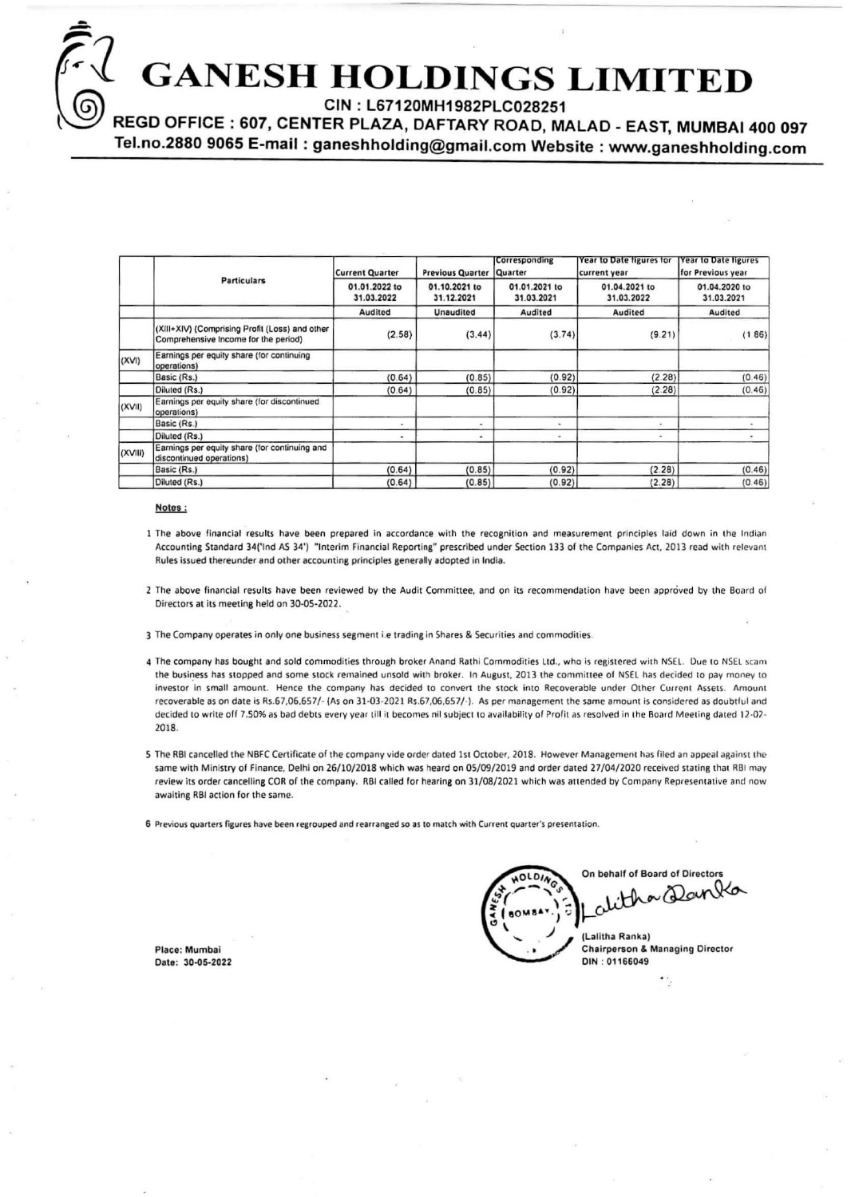# **GANESH HOLDINGS LIMITI**

CIN: L67120MH1982PLC028251

REGD OFFICE : 607, CENTER PLAZA, DAFTARY ROAD, MALAD - EAST, MUMBAI 400 097

Tel.no.2880 9065 E-mail: ganeshholding@gmail.com Website: www.ganeshholding.com

|         |                                                                                        | <b>Current Quarter</b>      | <b>Previous Quarter</b>     | Corresponding<br>Quarter    | Year to Date figures for<br>current year | <b>Year to Date figures</b><br>for Previous year |  |
|---------|----------------------------------------------------------------------------------------|-----------------------------|-----------------------------|-----------------------------|------------------------------------------|--------------------------------------------------|--|
|         | <b>Particulars</b>                                                                     | 01.01.2022 to<br>31.03.2022 | 01.10.2021 to<br>31.12.2021 | 01.01.2021 to<br>31.03.2021 | 01.04.2021 to<br>31.03.2022              | 01.04.2020 to<br>31.03.2021<br>Audited           |  |
|         |                                                                                        | Audited                     | <b>Unaudited</b>            | Audited                     | Audited                                  |                                                  |  |
|         | (XIII+XIV) (Comprising Profit (Loss) and other<br>Comprehensive Income for the period) | (2.58)                      | (3.44)                      | (3.74)                      | (9.21)                                   | (1.86)                                           |  |
| (XVI)   | Earnings per equity share (for continuing<br>operations)                               |                             |                             |                             |                                          |                                                  |  |
|         | Basic (Rs.)                                                                            | (0.64)                      | (0.85)                      | (0.92)                      | (2.28)                                   | (0.46)                                           |  |
|         | Diluted (Rs.)                                                                          | (0.64)                      | (0.85)                      | (0.92)                      | (2.28)                                   | (0.46)                                           |  |
| (XVII)  | Earnings per equity share (for discontinued<br>operations)                             |                             |                             |                             |                                          |                                                  |  |
|         | Basic (Rs.)                                                                            | ٠                           | $\bullet$                   | $\bullet$                   | $\bullet$                                | ٠                                                |  |
|         | Diluted (Rs.)                                                                          | $\blacksquare$              | ۰                           | ٠                           | ۰                                        |                                                  |  |
| (XVIII) | Earnings per equity share (for continuing and<br>discontinued operations)              |                             |                             |                             |                                          |                                                  |  |
|         | Basic (Rs.)                                                                            | (0.64)                      | (0.85)                      | (0.92)                      | (2.28)                                   | (0.46)                                           |  |
|         | Diluted (Rs.)                                                                          | (0.64)                      | (0.85)                      | (0.92)                      | (2.28)                                   | (0.46)                                           |  |

### Notes:

- 1 The above financial results have been prepared in accordance with the recognition and measurement principles laid down in the Indian Accounting Standard 34('Ind AS 34') "Interim Financial Reporting" prescribed under Section 133 of the Companies Act, 2013 read with relevant Rules issued thereunder and other accounting principles generally adopted in India.
- 2 The above financial results have been reviewed by the Audit Committee, and on its recommendation have been approved by the Board of Directors at its meeting held on 30-05-2022.
- 3 The Company operates in only one business segment i.e trading in Shares & Securities and commodities.
- 4 The company has bought and sold commodities through broker Anand Rathi Commodities Ltd., who is registered with NSEL. Due to NSEL scam the business has stopped and some stock remained unsold with broker. In August, 2013 the committee of NSEL has decided to pay money to investor in small amount. Hence the company has decided to convert the stock into Recoverable under Other Current Assets. Amount recoverable as on date is Rs.67,06,657/- (As on 31-03-2021 Rs.67,06,657/-). As per management the same amount is considered as doubtful and decided to write off 7.50% as bad debts every year till it becomes nil subject to availability of Profit as resolved in the Board Meeting dated 12-02-2018.
- 5 The RBI cancelled the NBFC Certificate of the company vide order dated 1st October, 2018. However Management has filed an appeal against the same with Ministry of Finance, Delhi on 26/10/2018 which was heard on 05/09/2019 and order dated 27/04/2020 received stating that RBI may review its order cancelling COR of the company. RBI called for hearing on 31/08/2021 which was attended by Company Representative and now awaiting RBI action for the same.

6 Previous quarters figures have been regrouped and rearranged so as to match with Current quarter's presentation.

Place: Mumbai Date: 30-05-2022

On behalf of Board of Directors alitha Danka (Lalitha Ranka) **Chairperson & Managing Director** DIN: 01166049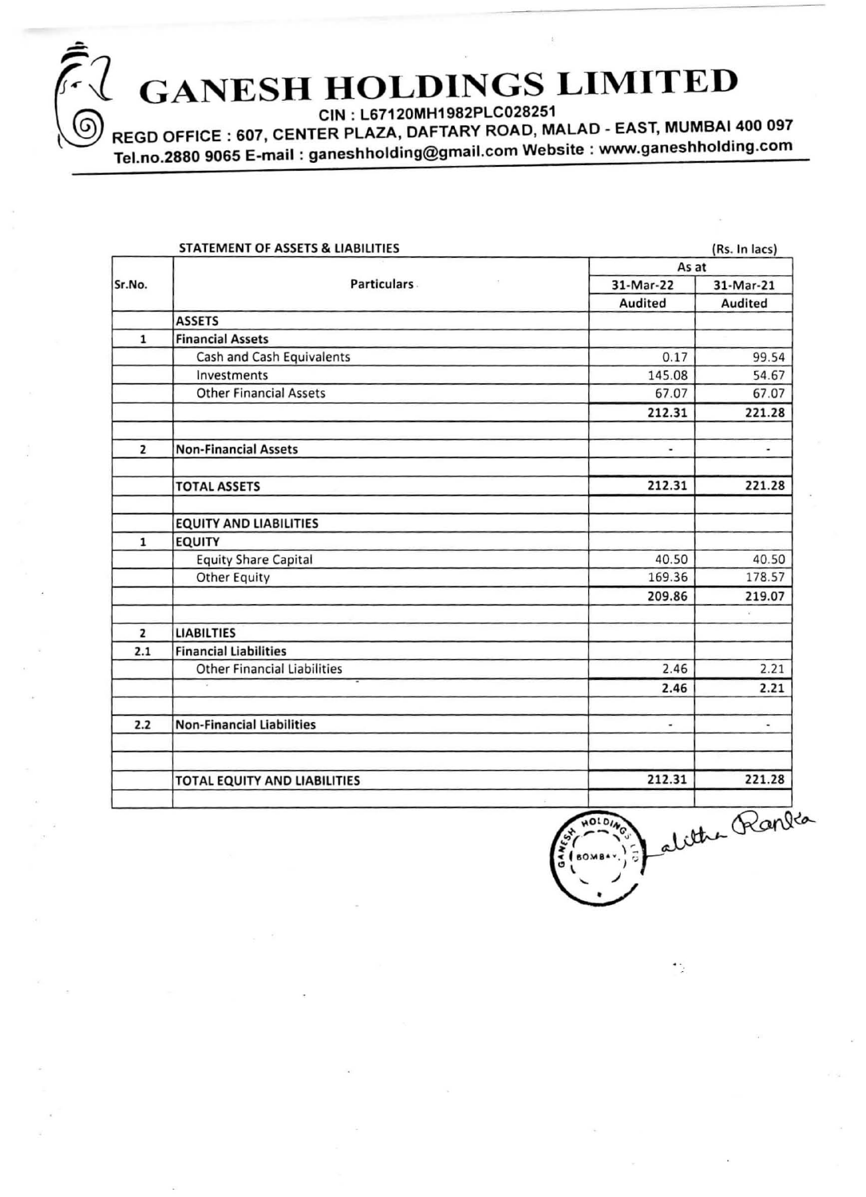# GANESH HOLDINGS LIMITED<br>REGD OFFICE : 607, CENTER PLAZA, DAFTARY ROAD, MALAD - EAST, MUMBAI 400 097

<u>።</u>

Tel.no.2880 9065 E-mail: ganeshholding@gmail.com Website : www.ganeshholding.com

|                | STATEMENT OF ASSETS & LIABILITIES  |                | (Rs. In lacs)            |  |  |  |
|----------------|------------------------------------|----------------|--------------------------|--|--|--|
|                | <b>Particulars</b>                 |                | As at                    |  |  |  |
| Sr.No.         |                                    | 31-Mar-22      | 31-Mar-21                |  |  |  |
|                |                                    | Audited        | Audited                  |  |  |  |
|                | <b>ASSETS</b>                      |                |                          |  |  |  |
| $\mathbf{1}$   | <b>Financial Assets</b>            |                |                          |  |  |  |
|                | Cash and Cash Equivalents          | 0.17           | 99.54                    |  |  |  |
|                | Investments                        | 145.08         | 54.67                    |  |  |  |
|                | <b>Other Financial Assets</b>      | 67.07          | 67.07                    |  |  |  |
|                |                                    | 212.31         | 221.28                   |  |  |  |
| $\overline{2}$ | <b>Non-Financial Assets</b>        | ٠              | ۰                        |  |  |  |
|                | <b>TOTAL ASSETS</b>                | 212.31         | 221.28                   |  |  |  |
|                | <b>EQUITY AND LIABILITIES</b>      |                |                          |  |  |  |
| $\mathbf{1}$   | <b>EQUITY</b>                      |                |                          |  |  |  |
|                | <b>Equity Share Capital</b>        | 40.50          | 40.50                    |  |  |  |
|                | Other Equity                       | 169.36         | 178.57                   |  |  |  |
|                |                                    | 209.86         | 219.07                   |  |  |  |
| $\overline{2}$ | <b>LIABILTIES</b>                  |                |                          |  |  |  |
| 2.1            | <b>Financial Liabilities</b>       |                |                          |  |  |  |
|                | <b>Other Financial Liabilities</b> | 2.46           | 2.21                     |  |  |  |
|                |                                    | 2.46           | 2.21                     |  |  |  |
| 2.2            | <b>Non-Financial Liabilities</b>   | $\blacksquare$ | $\overline{\phantom{a}}$ |  |  |  |
|                | TOTAL EQUITY AND LIABILITIES       | 212.31         | 221.28                   |  |  |  |

 $\frac{80.018}{90.01}$  $\frac{212.31}{12.31}$   $\frac{221.28}{12.31}$  $\frac{1}{5}$ (soms $\cdot$ .) =  $\frac{1}{5}$  all  $\overline{\phantom{a}}$ •

٠.